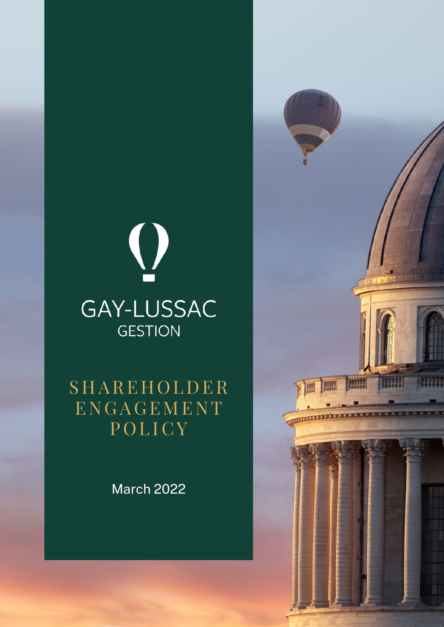# $\bigcirc$ GAY-LUSSAC **GESTION**

**SHAREHOLDER** E N G A G E M E N T POLICY

March 2022

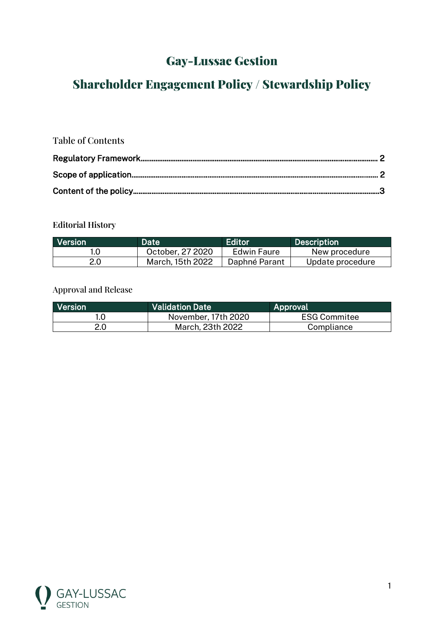# Gay-Lussac Gestion

# Shareholder Engagement Policy / Stewardship Policy

# Table of Contents

# **Editorial History**

| <b>Nersion</b> | Date             | Editor        | <b>Description</b> |
|----------------|------------------|---------------|--------------------|
|                | October, 27 2020 | Edwin Faure   | New procedure      |
| 2.0            | March, 15th 2022 | Daphné Parant | Update procedure   |

## Approval and Release

| <b>Nersion</b> | <b>Validation Date</b> | Approval            |
|----------------|------------------------|---------------------|
|                | November, 17th 2020    | <b>ESG Commitee</b> |
| 2.0            | March, 23th 2022       | Compliance          |

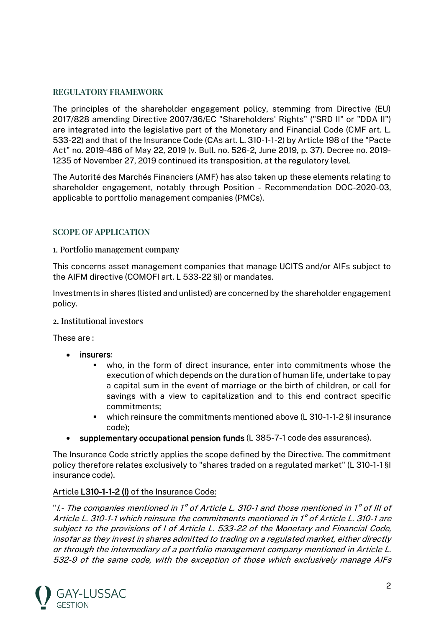#### **REGULATORY FRAMEWORK**

The principles of the shareholder engagement policy, stemming from Directive (EU) 2017/828 amending Directive 2007/36/EC "Shareholders' Rights" ("SRD II" or "DDA II") are integrated into the legislative part of the Monetary and Financial Code (CMF art. L. 533-22) and that of the Insurance Code (CAs art. L. 310-1-1-2) by Article 198 of the "Pacte Act" no. 2019-486 of May 22, 2019 (v. Bull. no. 526-2, June 2019, p. 37). Decree no. 2019- 1235 of November 27, 2019 continued its transposition, at the regulatory level.

The Autorité des Marchés Financiers (AMF) has also taken up these elements relating to shareholder engagement, notably through Position - Recommendation DOC-2020-03, applicable to portfolio management companies (PMCs).

## **SCOPE OF APPLICATION**

#### 1. Portfolio management company

This concerns asset management companies that manage UCITS and/or AIFs subject to the AIFM directive (COMOFI art. L 533-22 §I) or mandates.

Investments in shares (listed and unlisted) are concerned by the shareholder engagement policy.

#### 2. Institutional investors

These are :

- insurers:
	- who, in the form of direct insurance, enter into commitments whose the execution of which depends on the duration of human life, undertake to pay a capital sum in the event of marriage or the birth of children, or call for savings with a view to capitalization and to this end contract specific commitments;
	- which reinsure the commitments mentioned above (L 310-1-1-2 §I insurance code);
- supplementary occupational pension funds (L 385-7-1 code des assurances).

The Insurance Code strictly applies the scope defined by the Directive. The commitment policy therefore relates exclusively to "shares traded on a regulated market" (L 310-1-1 §I insurance code).

#### Article L310-1-1-2 (I) of the Insurance Code:

"I.- The companies mentioned in 1° of Article L. 310-1 and those mentioned in 1° of III of Article L. 310-1-1 which reinsure the commitments mentioned in 1° of Article L. 310-1 are subject to the provisions of I of Article L. 533-22 of the Monetary and Financial Code, insofar as they invest in shares admitted to trading on a regulated market, either directly or through the intermediary of a portfolio management company mentioned in Article L. 532-9 of the same code, with the exception of those which exclusively manage AIFs

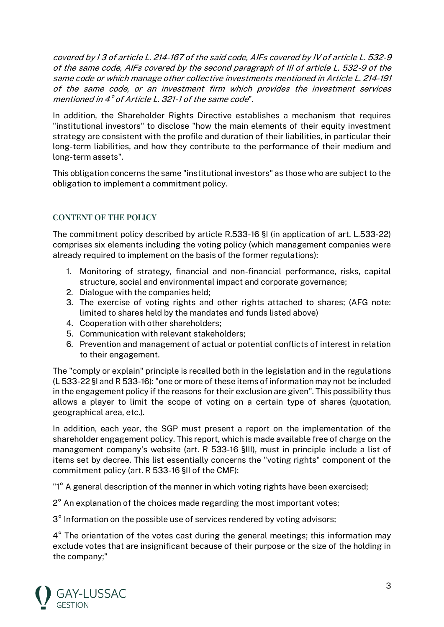covered by I 3 of article L. 214-167 of the said code, AIFs covered by IV of article L. 532-9 of the same code, AIFs covered by the second paragraph of III of article L. 532-9 of the same code or which manage other collective investments mentioned in Article L. 214-191 of the same code, or an investment firm which provides the investment services mentioned in 4° of Article L. 321-1 of the same code".

In addition, the Shareholder Rights Directive establishes a mechanism that requires "institutional investors" to disclose "how the main elements of their equity investment strategy are consistent with the profile and duration of their liabilities, in particular their long-term liabilities, and how they contribute to the performance of their medium and long-term assets".

This obligation concerns the same "institutional investors" as those who are subject to the obligation to implement a commitment policy.

# **CONTENT OF THE POLICY**

The commitment policy described by article R.533-16 §I (in application of art. L.533-22) comprises six elements including the voting policy (which management companies were already required to implement on the basis of the former regulations):

- 1. Monitoring of strategy, financial and non-financial performance, risks, capital structure, social and environmental impact and corporate governance;
- 2. Dialogue with the companies held;
- 3. The exercise of voting rights and other rights attached to shares; (AFG note: limited to shares held by the mandates and funds listed above)
- 4. Cooperation with other shareholders;
- 5. Communication with relevant stakeholders;
- 6. Prevention and management of actual or potential conflicts of interest in relation to their engagement.

The "comply or explain" principle is recalled both in the legislation and in the regulations (L 533-22 §I and R 533-16): "one or more of these items of information may not be included in the engagement policy if the reasons for their exclusion are given". This possibility thus allows a player to limit the scope of voting on a certain type of shares (quotation, geographical area, etc.).

In addition, each year, the SGP must present a report on the implementation of the shareholder engagement policy. This report, which is made available free of charge on the management company's website (art. R 533-16 §III), must in principle include a list of items set by decree. This list essentially concerns the "voting rights" component of the commitment policy (art. R 533-16 §II of the CMF):

"1° A general description of the manner in which voting rights have been exercised;

2° An explanation of the choices made regarding the most important votes;

3° Information on the possible use of services rendered by voting advisors;

4° The orientation of the votes cast during the general meetings; this information may exclude votes that are insignificant because of their purpose or the size of the holding in the company;"

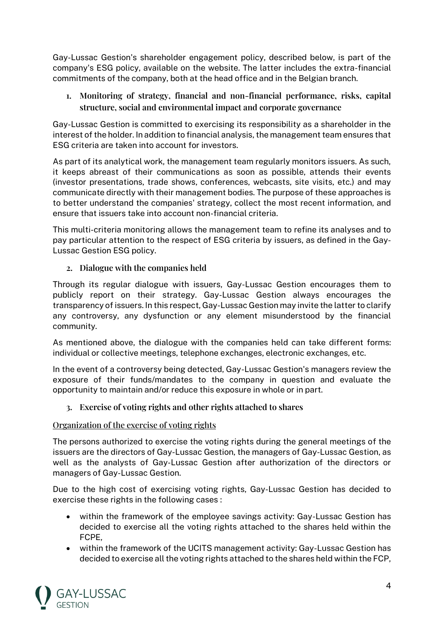Gay-Lussac Gestion's shareholder engagement policy, described below, is part of the company's ESG policy, available on the website. The latter includes the extra-financial commitments of the company, both at the head office and in the Belgian branch.

**1. Monitoring of strategy, financial and non-financial performance, risks, capital structure, social and environmental impact and corporate governance** 

Gay-Lussac Gestion is committed to exercising its responsibility as a shareholder in the interest of the holder. In addition to financial analysis, the management team ensures that ESG criteria are taken into account for investors.

As part of its analytical work, the management team regularly monitors issuers. As such, it keeps abreast of their communications as soon as possible, attends their events (investor presentations, trade shows, conferences, webcasts, site visits, etc.) and may communicate directly with their management bodies. The purpose of these approaches is to better understand the companies' strategy, collect the most recent information, and ensure that issuers take into account non-financial criteria.

This multi-criteria monitoring allows the management team to refine its analyses and to pay particular attention to the respect of ESG criteria by issuers, as defined in the Gay-Lussac Gestion ESG policy.

## **2. Dialogue with the companies held**

Through its regular dialogue with issuers, Gay-Lussac Gestion encourages them to publicly report on their strategy. Gay-Lussac Gestion always encourages the transparency of issuers. In this respect, Gay-Lussac Gestion may invite the latter to clarify any controversy, any dysfunction or any element misunderstood by the financial community.

As mentioned above, the dialogue with the companies held can take different forms: individual or collective meetings, telephone exchanges, electronic exchanges, etc.

In the event of a controversy being detected, Gay-Lussac Gestion's managers review the exposure of their funds/mandates to the company in question and evaluate the opportunity to maintain and/or reduce this exposure in whole or in part.

#### **3. Exercise of voting rights and other rights attached to shares**

#### Organization of the exercise of voting rights

The persons authorized to exercise the voting rights during the general meetings of the issuers are the directors of Gay-Lussac Gestion, the managers of Gay-Lussac Gestion, as well as the analysts of Gay-Lussac Gestion after authorization of the directors or managers of Gay-Lussac Gestion.

Due to the high cost of exercising voting rights, Gay-Lussac Gestion has decided to exercise these rights in the following cases :

- within the framework of the employee savings activity: Gay-Lussac Gestion has decided to exercise all the voting rights attached to the shares held within the FCPE,
- within the framework of the UCITS management activity: Gay-Lussac Gestion has decided to exercise all the voting rights attached to the shares held within the FCP,

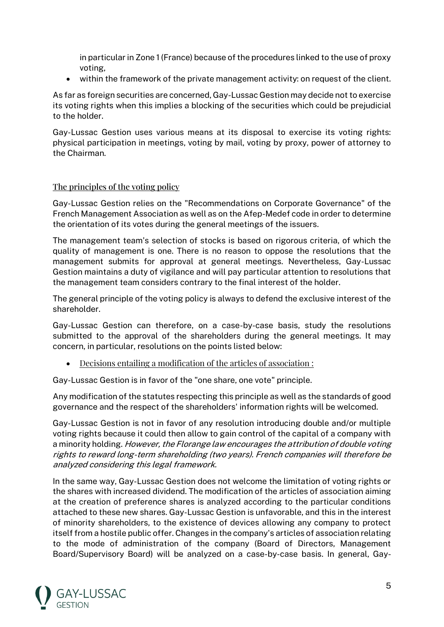in particular in Zone 1 (France) because of the procedures linked to the use of proxy voting,

• within the framework of the private management activity: on request of the client.

As far as foreign securities are concerned, Gay-Lussac Gestion may decide not to exercise its voting rights when this implies a blocking of the securities which could be prejudicial to the holder.

Gay-Lussac Gestion uses various means at its disposal to exercise its voting rights: physical participation in meetings, voting by mail, voting by proxy, power of attorney to the Chairman.

#### The principles of the voting policy

Gay-Lussac Gestion relies on the "Recommendations on Corporate Governance" of the French Management Association as well as on the Afep-Medef code in order to determine the orientation of its votes during the general meetings of the issuers.

The management team's selection of stocks is based on rigorous criteria, of which the quality of management is one. There is no reason to oppose the resolutions that the management submits for approval at general meetings. Nevertheless, Gay-Lussac Gestion maintains a duty of vigilance and will pay particular attention to resolutions that the management team considers contrary to the final interest of the holder.

The general principle of the voting policy is always to defend the exclusive interest of the shareholder.

Gay-Lussac Gestion can therefore, on a case-by-case basis, study the resolutions submitted to the approval of the shareholders during the general meetings. It may concern, in particular, resolutions on the points listed below:

• Decisions entailing a modification of the articles of association :

Gay-Lussac Gestion is in favor of the "one share, one vote" principle.

Any modification of the statutes respecting this principle as well as the standards of good governance and the respect of the shareholders' information rights will be welcomed.

Gay-Lussac Gestion is not in favor of any resolution introducing double and/or multiple voting rights because it could then allow to gain control of the capital of a company with a minority holding. However, the Florange law encourages the attribution of double voting rights to reward long-term shareholding (two years). French companies will therefore be analyzed considering this legal framework.

In the same way, Gay-Lussac Gestion does not welcome the limitation of voting rights or the shares with increased dividend. The modification of the articles of association aiming at the creation of preference shares is analyzed according to the particular conditions attached to these new shares. Gay-Lussac Gestion is unfavorable, and this in the interest of minority shareholders, to the existence of devices allowing any company to protect itself from a hostile public offer. Changes in the company's articles of association relating to the mode of administration of the company (Board of Directors, Management Board/Supervisory Board) will be analyzed on a case-by-case basis. In general, Gay-

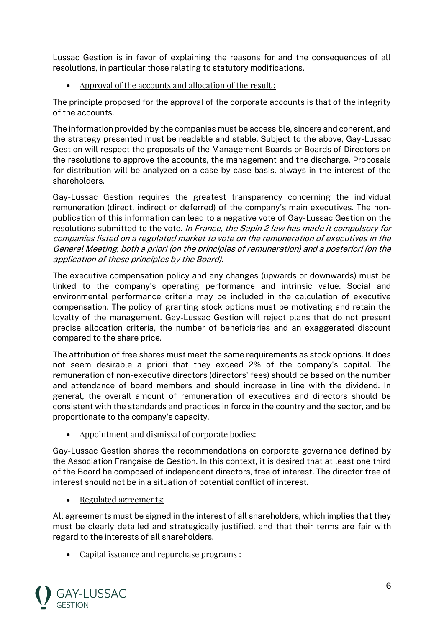Lussac Gestion is in favor of explaining the reasons for and the consequences of all resolutions, in particular those relating to statutory modifications.

• Approval of the accounts and allocation of the result :

The principle proposed for the approval of the corporate accounts is that of the integrity of the accounts.

The information provided by the companies must be accessible, sincere and coherent, and the strategy presented must be readable and stable. Subject to the above, Gay-Lussac Gestion will respect the proposals of the Management Boards or Boards of Directors on the resolutions to approve the accounts, the management and the discharge. Proposals for distribution will be analyzed on a case-by-case basis, always in the interest of the shareholders.

Gay-Lussac Gestion requires the greatest transparency concerning the individual remuneration (direct, indirect or deferred) of the company's main executives. The nonpublication of this information can lead to a negative vote of Gay-Lussac Gestion on the resolutions submitted to the vote. In France, the Sapin 2 law has made it compulsory for companies listed on a regulated market to vote on the remuneration of executives in the General Meeting, both a priori (on the principles of remuneration) and a posteriori (on the application of these principles by the Board).

The executive compensation policy and any changes (upwards or downwards) must be linked to the company's operating performance and intrinsic value. Social and environmental performance criteria may be included in the calculation of executive compensation. The policy of granting stock options must be motivating and retain the loyalty of the management. Gay-Lussac Gestion will reject plans that do not present precise allocation criteria, the number of beneficiaries and an exaggerated discount compared to the share price.

The attribution of free shares must meet the same requirements as stock options. It does not seem desirable a priori that they exceed 2% of the company's capital. The remuneration of non-executive directors (directors' fees) should be based on the number and attendance of board members and should increase in line with the dividend. In general, the overall amount of remuneration of executives and directors should be consistent with the standards and practices in force in the country and the sector, and be proportionate to the company's capacity.

• Appointment and dismissal of corporate bodies:

Gay-Lussac Gestion shares the recommendations on corporate governance defined by the Association Française de Gestion. In this context, it is desired that at least one third of the Board be composed of independent directors, free of interest. The director free of interest should not be in a situation of potential conflict of interest.

• Regulated agreements:

All agreements must be signed in the interest of all shareholders, which implies that they must be clearly detailed and strategically justified, and that their terms are fair with regard to the interests of all shareholders.

• Capital issuance and repurchase programs :

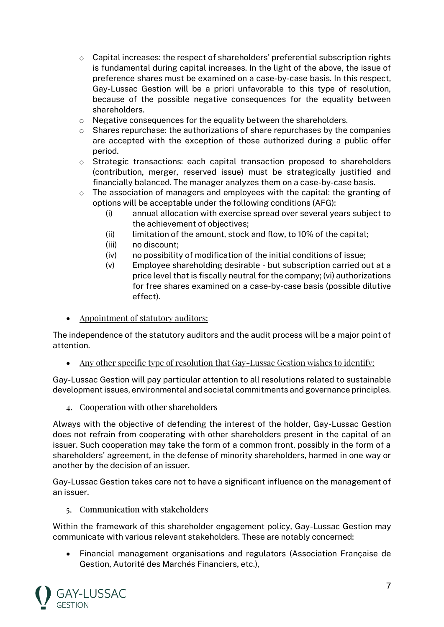- o Capital increases: the respect of shareholders' preferential subscription rights is fundamental during capital increases. In the light of the above, the issue of preference shares must be examined on a case-by-case basis. In this respect, Gay-Lussac Gestion will be a priori unfavorable to this type of resolution, because of the possible negative consequences for the equality between shareholders.
- o Negative consequences for the equality between the shareholders.
- $\circ$  Shares repurchase: the authorizations of share repurchases by the companies are accepted with the exception of those authorized during a public offer period.
- $\circ$  Strategic transactions: each capital transaction proposed to shareholders (contribution, merger, reserved issue) must be strategically justified and financially balanced. The manager analyzes them on a case-by-case basis.
- $\circ$  The association of managers and employees with the capital: the granting of options will be acceptable under the following conditions (AFG):
	- (i) annual allocation with exercise spread over several years subject to the achievement of objectives;
	- (ii) limitation of the amount, stock and flow, to 10% of the capital;
	- (iii) no discount;
	- (iv) no possibility of modification of the initial conditions of issue;
	- (v) Employee shareholding desirable but subscription carried out at a price level that is fiscally neutral for the company; (vi) authorizations for free shares examined on a case-by-case basis (possible dilutive effect).
- Appointment of statutory auditors:

The independence of the statutory auditors and the audit process will be a major point of attention.

• Any other specific type of resolution that Gay-Lussac Gestion wishes to identify:

Gay-Lussac Gestion will pay particular attention to all resolutions related to sustainable development issues, environmental and societal commitments and governance principles.

4. Cooperation with other shareholders

Always with the objective of defending the interest of the holder, Gay-Lussac Gestion does not refrain from cooperating with other shareholders present in the capital of an issuer. Such cooperation may take the form of a common front, possibly in the form of a shareholders' agreement, in the defense of minority shareholders, harmed in one way or another by the decision of an issuer.

Gay-Lussac Gestion takes care not to have a significant influence on the management of an issuer.

5. Communication with stakeholders

Within the framework of this shareholder engagement policy, Gay-Lussac Gestion may communicate with various relevant stakeholders. These are notably concerned:

• Financial management organisations and regulators (Association Française de Gestion, Autorité des Marchés Financiers, etc.),